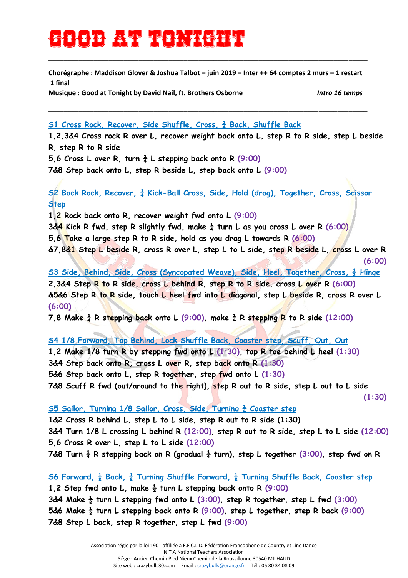## **Good at tonight**

**Chorégraphe : Maddison Glover & Joshua Talbot – juin 2019 – Inter ++ 64 comptes 2 murs – 1 restart 1 final** 

\_\_\_\_\_\_\_\_\_\_\_\_\_\_\_\_\_\_\_\_\_\_\_\_\_\_\_\_\_\_\_\_\_\_\_\_\_\_\_\_\_\_\_\_\_\_\_\_\_\_\_\_\_\_\_\_\_\_\_\_\_\_\_\_\_\_\_\_\_\_\_\_\_\_\_\_\_\_\_\_\_\_\_\_\_

\_\_\_\_\_\_\_\_\_\_\_\_\_\_\_\_\_\_\_\_\_\_\_\_\_\_\_\_\_\_\_\_\_\_\_\_\_\_\_\_\_\_\_\_\_\_\_\_\_\_\_\_\_\_\_\_\_\_\_\_\_\_\_\_\_\_\_\_\_\_\_\_\_\_\_\_\_\_\_\_\_\_\_\_\_

**Musique : Good at Tonight by David Nail, ft. Brothers Osborne** *Intro 16 temps*

**S1 Cross Rock, Recover, Side Shuffle, Cross, ¼ Back, Shuffle Back**

**1,2,3&4 Cross rock R over L, recover weight back onto L, step R to R side, step L beside R, step R to R side** 

**5,6 Cross L over R, turn ¼ L stepping back onto R (9:00)** 

**7&8 Step back onto L, step R beside L, step back onto L (9:00)** 

**S2 Back Rock, Recover,**  $\frac{1}{4}$  **Kick-Ball Cross, Side, Hold (drag), Together, Cross, Scissor Step** 

**1,2 Rock back onto R, recover weight fwd onto L (9:00)** 

**3&4** Kick R fwd, step R slightly fwd, make  $\frac{1}{4}$  turn L as you cross L over R (6:00)

**5,6 Take a large step R to R side, hold as you drag L towards R (6:00)** 

**&7,8&1 Step L beside R, cross R over L, step L to L side, step R beside L, cross L over R (6:00)** 

**S3 Side, Behind, Side, Cross (Syncopated Weave), Side, Heel, Together, Cross, ½ Hinge 2,3&4 Step R to R side, cross L behind R, step R to R side, cross L over R (6:00) &5&6 Step R to R side, touch L heel fwd into L diagonal, step L beside R, cross R over L (6:00)** 

**7,8 Make**  $\frac{1}{4}$  **R stepping back onto L (9:00), make**  $\frac{1}{4}$  **R stepping R to R side (12:00)** 

**S4 1/8 Forward, Tap Behind, Lock Shuffle Back, Coaster step, Scuff, Out, Out 1,2 Make 1/8 turn R by stepping fwd onto L (1:30), tap R toe behind L heel (1:30) 3&4 Step back onto R, cross L over R, step back onto R (1:30) 5&6 Step back onto L, step R together, step fwd onto L (1:30) 7&8 Scuff R fwd (out/around to the right), step R out to R side, step L out to L side** 

**(1:30)** 

**S5 Sailor, Turning 1/8 Sailor, Cross, Side, Turning ¼ Coaster step 1&2 Cross R behind L, step L to L side, step R out to R side (1:30) 3&4 Turn 1/8 L crossing L behind R (12:00), step R out to R side, step L to L side (12:00) 5,6 Cross R over L, step L to L side (12:00) 7&8 Turn**  $\frac{1}{4}$  **R stepping back on R (gradual**  $\frac{1}{4}$  **turn), step L together (3:00), step fwd on R** 

**S6 Forward, ½ Back, ½ Turning Shuffle Forward, ½ Turning Shuffle Back, Coaster step 1,2 Step fwd onto L, make ½ turn L stepping back onto R (9:00) 3&4 Make ½ turn L stepping fwd onto L (3:00), step R together, step L fwd (3:00) 5&6 Make ½ turn L stepping back onto R (9:00), step L together, step R back (9:00) 7&8 Step L back, step R together, step L fwd (9:00)**